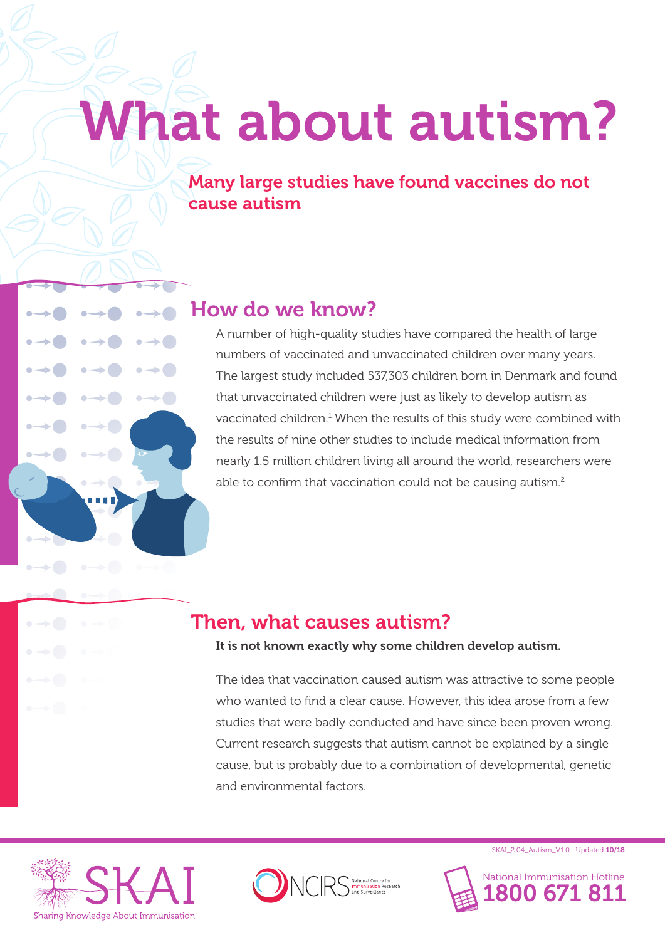# What about autism?

Many large studies have found vaccines do not cause autism

## How do we know?

A number of high-quality studies have compared the health of large numbers of vaccinated and unvaccinated children over many years. The largest study included 537,303 children born in Denmark and found that unvaccinated children were just as likely to develop autism as vaccinated children.<sup>1</sup> When the results of this study were combined with the results of nine other studies to include medical information from nearly 1.5 million children living all around the world, researchers were able to confirm that vaccination could not be causing autism.<sup>2</sup>

## Then, what causes autism?

### It is not known exactly why some children develop autism.

The idea that vaccination caused autism was attractive to some people who wanted to find a clear cause. However, this idea arose from a few studies that were badly conducted and have since been proven wrong. Current research suggests that autism cannot be explained by a single cause, but is probably due to a combination of developmental, genetic and environmental factors.





SKAI\_2.04\_Autism\_V1.0 : Updated 10/18